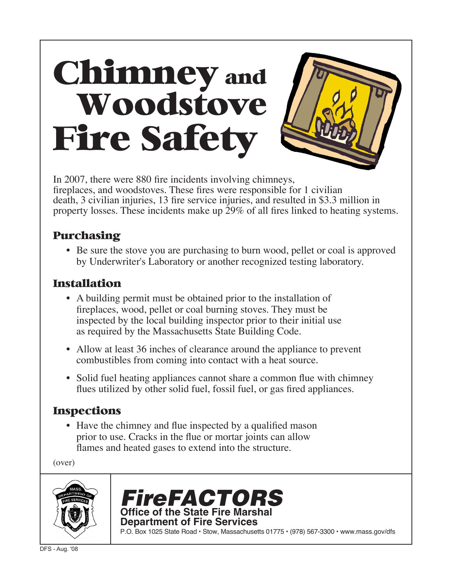# Chimney and Woodstove Fire Safety

In 2007, there were 880 fire incidents involving chimneys, fireplaces, and woodstoves. These fires were responsible for 1 civilian death, 3 civilian injuries, 13 fire service injuries, and resulted in \$3.3 million in property losses. These incidents make up 29% of all fires linked to heating systems.

## Purchasing

• Be sure the stove you are purchasing to burn wood, pellet or coal is approved by Underwriter's Laboratory or another recognized testing laboratory.

#### Installation

- A building permit must be obtained prior to the installation of fireplaces, wood, pellet or coal burning stoves. They must be inspected by the local building inspector prior to their initial use as required by the Massachusetts State Building Code.
- Allow at least 36 inches of clearance around the appliance to prevent combustibles from coming into contact with a heat source.
- Solid fuel heating appliances cannot share a common flue with chimney flues utilized by other solid fuel, fossil fuel, or gas fired appliances.

# Inspections

• Have the chimney and flue inspected by a qualified mason prior to use. Cracks in the flue or mortar joints can allow flames and heated gases to extend into the structure.

(over)





P.O. Box 1025 State Road • Stow, Massachusetts 01775 • (978) 567-3300 • www.mass.gov/dfs